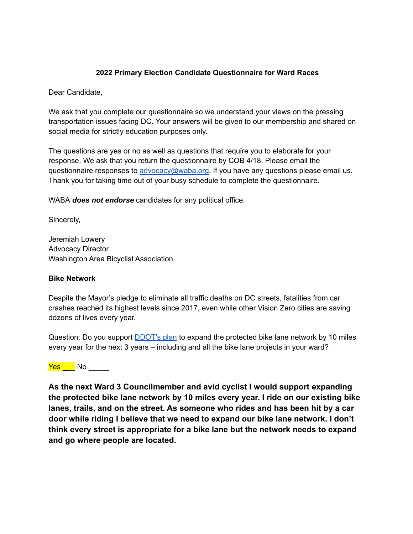### **2022 Primary Election Candidate Questionnaire for Ward Races**

Dear Candidate,

We ask that you complete our questionnaire so we understand your views on the pressing transportation issues facing DC. Your answers will be given to our membership and shared on social media for strictly education purposes only.

The questions are yes or no as well as questions that require you to elaborate for your response. We ask that you return the questionnaire by COB 4/18. Please email the questionnaire responses to [advocacy@waba.org.](mailto:jeremiah.lowery@waba.org) If you have any questions please email us. Thank you for taking time out of your busy schedule to complete the questionnaire.

WABA *does not endorse* candidates for any political office.

Sincerely,

Jeremiah Lowery Advocacy Director Washington Area Bicyclist Association

#### **Bike Network**

Despite the Mayor's pledge to eliminate all traffic deaths on DC streets, fatalities from car crashes reached its highest levels since 2017, even while other Vision Zero cities are saving dozens of lives every year.

Question: Do you support **[DDOT's plan](https://ddot.dc.gov/page/bicycle-lanes)** to expand the protected bike lane network by 10 miles every year for the next 3 years – including and all the bike lane projects in your ward?

Yes No  $\overline{\phantom{a}}$  No

**As the next Ward 3 Councilmember and avid cyclist I would support expanding the protected bike lane network by 10 miles every year. I ride on our existing bike lanes, trails, and on the street. As someone who rides and has been hit by a car door while riding I believe that we need to expand our bike lane network. I don't think every street is appropriate for a bike lane but the network needs to expand and go where people are located.**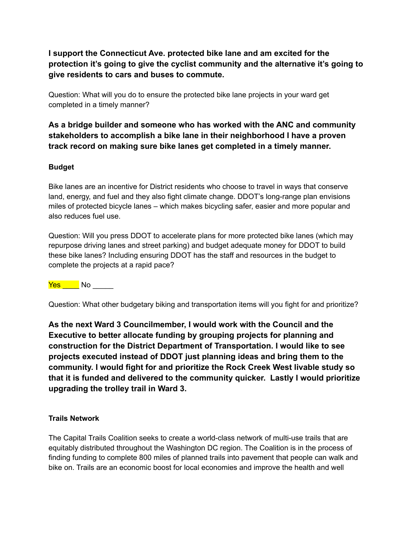**I support the Connecticut Ave. protected bike lane and am excited for the protection it's going to give the cyclist community and the alternative it's going to give residents to cars and buses to commute.**

Question: What will you do to ensure the protected bike lane projects in your ward get completed in a timely manner?

**As a bridge builder and someone who has worked with the ANC and community stakeholders to accomplish a bike lane in their neighborhood I have a proven track record on making sure bike lanes get completed in a timely manner.**

### **Budget**

Bike lanes are an incentive for District residents who choose to travel in ways that conserve land, energy, and fuel and they also fight climate change. DDOT's long-range plan envisions miles of protected bicycle lanes – which makes bicycling safer, easier and more popular and also reduces fuel use.

Question: Will you press DDOT to accelerate plans for more protected bike lanes (which may repurpose driving lanes and street parking) and budget adequate money for DDOT to build these bike lanes? Including ensuring DDOT has the staff and resources in the budget to complete the projects at a rapid pace?

Yes No No No Reserve

Question: What other budgetary biking and transportation items will you fight for and prioritize?

**As the next Ward 3 Councilmember, I would work with the Council and the Executive to better allocate funding by grouping projects for planning and construction for the District Department of Transportation. I would like to see projects executed instead of DDOT just planning ideas and bring them to the community. I would fight for and prioritize the Rock Creek West livable study so that it is funded and delivered to the community quicker. Lastly I would prioritize upgrading the trolley trail in Ward 3.**

### **Trails Network**

The Capital Trails Coalition seeks to create a world-class network of multi-use trails that are equitably distributed throughout the Washington DC region. The Coalition is in the process of finding funding to complete 800 miles of planned trails into pavement that people can walk and bike on. Trails are an economic boost for local economies and improve the health and well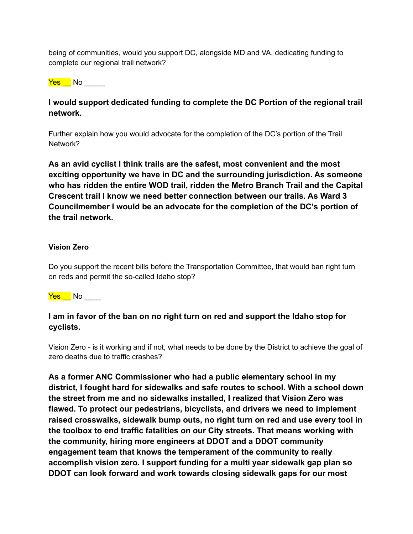being of communities, would you support DC, alongside MD and VA, dedicating funding to complete our regional trail network?

Yes \_\_ No \_\_\_\_\_

## **I would support dedicated funding to complete the DC Portion of the regional trail network.**

Further explain how you would advocate for the completion of the DC's portion of the Trail Network?

**As an avid cyclist I think trails are the safest, most convenient and the most exciting opportunity we have in DC and the surrounding jurisdiction. As someone who has ridden the entire WOD trail, ridden the Metro Branch Trail and the Capital Crescent trail I know we need better connection between our trails. As Ward 3 Councilmember I would be an advocate for the completion of the DC's portion of the trail network.**

### **Vision Zero**

Do you support the recent bills before the Transportation Committee, that would ban right turn on reds and permit the so-called Idaho stop?

<mark>Yes N</mark>o \_\_\_\_\_

# **I am in favor of the ban on no right turn on red and support the Idaho stop for cyclists.**

Vision Zero - is it working and if not, what needs to be done by the District to achieve the goal of zero deaths due to traffic crashes?

**As a former ANC Commissioner who had a public elementary school in my district, I fought hard for sidewalks and safe routes to school. With a school down the street from me and no sidewalks installed, I realized that Vision Zero was flawed. To protect our pedestrians, bicyclists, and drivers we need to implement raised crosswalks, sidewalk bump outs, no right turn on red and use every tool in the toolbox to end traffic fatalities on our City streets. That means working with the community, hiring more engineers at DDOT and a DDOT community engagement team that knows the temperament of the community to really accomplish vision zero. I support funding for a multi year sidewalk gap plan so DDOT can look forward and work towards closing sidewalk gaps for our most**